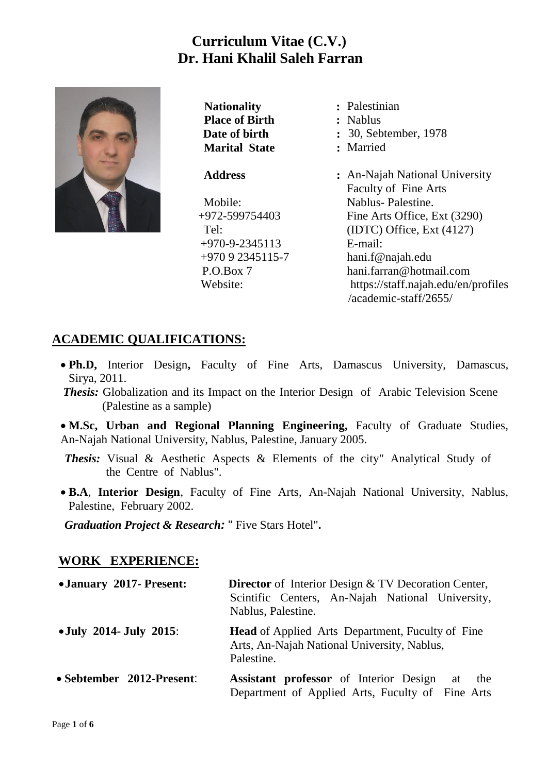# **Curriculum Vitae (C.V.) Dr. Hani Khalil Saleh Farran**



**Nationality** : Palestinian **Place of Birth :** Nablus **Marital State :** Married

#### **Address :**

Mobile: +972-599754403  $Te1$  +970-9-2345113 +970 [9 2345115-7](callto:+970%209%202345115-7) P.O.Box 7 Website:

**Date of birth : 30, Sebtember, 1978** An-Najah National University [Faculty of](http://www.najah.edu/english/Faculties/Graduate/Graduates.asp) Fine Arts Nablus- Palestine. Fine Arts Office, Ext (3290) (IDTC) Office, Ext (4127) E-mail: hani.f@najah.edu

[hani.farran@hotmail.com](mailto:hani.farran@hotmail.com) <https://staff.najah.edu/en/profiles> /academic-staff/2655/

## **ACADEMIC QUALIFICATIONS:**

- **Ph.D,** Interior Design**,** [Faculty of Fine Arts,](http://www.najah.edu/english/Faculties/Graduate/Graduates.asp) Damascus University, Damascus, Sirya, 2011.
- **Thesis:** Globalization and its Impact on the Interior Design of Arabic Television Scene (Palestine as a sample)
- **M.Sc, Urban and Regional Planning Engineering,** [Faculty of Graduate Studies,](http://www.najah.edu/english/Faculties/Graduate/Graduates.asp) An-Najah National University, Nablus, Palestine, January 2005.
- *Thesis:* Visual & Aesthetic Aspects & Elements of the city" Analytical Study of the Centre of Nablus".
- **B.A**, **Interior Design**, Faculty of Fine Arts, An-Najah National University, Nablus, Palestine, February 2002.

*Graduation Project & Research:* " Five Stars Hotel"**.**

### **WORK EXPERIENCE:**

| • January 2017- Present:  | <b>Director</b> of Interior Design & TV Decoration Center,<br>Scintific Centers, An-Najah National University,<br>Nablus, Palestine. |
|---------------------------|--------------------------------------------------------------------------------------------------------------------------------------|
| • July 2014- July 2015:   | <b>Head</b> of Applied Arts Department, Fuculty of Fine<br>Arts, An-Najah National University, Nablus,<br>Palestine.                 |
| • Sebtember 2012-Present: | <b>Assistant professor</b> of Interior Design<br>at<br>the<br>Department of Applied Arts, Fuculty of Fine Arts                       |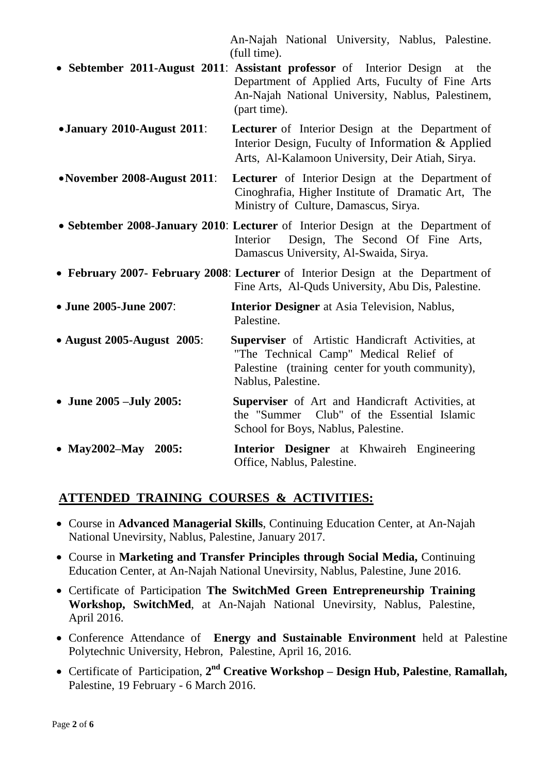An-Najah National University, Nablus, Palestine. (full time).

- **Sebtember 2011-August 2011**: **Assistant professor** of Interior Design at the Department of Applied Arts, Fuculty of Fine Arts An-Najah National University, Nablus, Palestinem, (part time).
- **January 2010-August 2011**: **Lecturer** of Interior Design at the Department of Interior Design, Fuculty of Information & Applied Arts, Al-Kalamoon University, Deir Atiah, Sirya.
- **November 2008-August 2011**: **Lecturer** of Interior Design at the Department of Cinoghrafia, Higher Institute of Dramatic Art, The Ministry of Culture, Damascus, Sirya.
- **Sebtember 2008-January 2010**: **Lecturer** of Interior Design at the Department of Interior Design, The Second Of Fine Arts, Damascus University, Al-Swaida, Sirya.
- **February 2007- February 2008**: **Lecturer** of Interior Design at the Department of Fine Arts, Al-Quds University, Abu Dis, Palestine.
- **June 2005-June 2007**: **Interior Designer** at Asia Television, Nablus, Palestine.
- **August 2005-August 2005**: **Superviser** of Artistic Handicraft Activities, at "The Technical Camp" Medical Relief of Palestine (training center for youth community), Nablus, Palestine.
- **June 2005 –July 2005: Superviser** of Art and Handicraft Activities, at the "Summer Club" of the Essential Islamic School for Boys, Nablus, Palestine.
- **May2002–May 2005: Interior Designer** at Khwaireh Engineering Office, Nablus, Palestine.

# **ATTENDED TRAINING COURSES & ACTIVITIES:**

- Course in **Advanced Managerial Skills**, Continuing Education Center, at An-Najah National Unevirsity, Nablus, Palestine, January 2017.
- Course in **Marketing and Transfer Principles through Social Media,** Continuing Education Center, at An-Najah National Unevirsity, Nablus, Palestine, June 2016.
- Certificate of Participation **The SwitchMed Green Entrepreneurship Training Workshop, SwitchMed**, at An-Najah National Unevirsity, Nablus, Palestine, April 2016.
- Conference Attendance of **Energy and Sustainable Environment** held at Palestine Polytechnic University, Hebron, Palestine, April 16, 2016.
- Certificate of Participation, **2 nd Creative Workshop – Design Hub, Palestine**, **Ramallah,** Palestine, 19 February - 6 March 2016.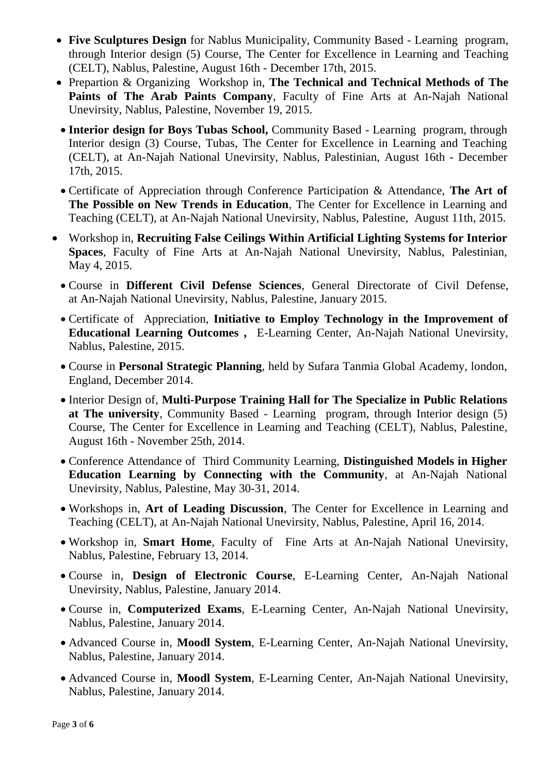- **Five Sculptures Design** for Nablus Municipality, Community Based Learning program, through Interior design (5) Course, The Center for Excellence in Learning and Teaching (CELT), Nablus, Palestine, August 16th - December 17th, 2015.
- Prepartion & Organizing Workshop in, **The Technical and Technical Methods of The Paints of The Arab Paints Company**, Faculty of Fine Arts at An-Najah National Unevirsity, Nablus, Palestine, November 19, 2015.
- **Interior design for Boys Tubas School,** Community Based Learning program, through Interior design (3) Course, Tubas, The Center for Excellence in Learning and Teaching (CELT), at An-Najah National Unevirsity, Nablus, Palestinian, August 16th - December 17th, 2015.
- Certificate of Appreciation through Conference Participation & Attendance, **The Art of The Possible on New Trends in Education**, The Center for Excellence in Learning and Teaching (CELT), at An-Najah National Unevirsity, Nablus, Palestine, August 11th, 2015.
- Workshop in, **Recruiting False Ceilings Within Artificial Lighting Systems for Interior Spaces**, Faculty of Fine Arts at An-Najah National Unevirsity, Nablus, Palestinian, May 4, 2015.
	- Course in **Different Civil Defense Sciences**, General Directorate of Civil Defense, at An-Najah National Unevirsity, Nablus, Palestine, January 2015.
	- Certificate of Appreciation, **Initiative to Employ Technology in the Improvement of Educational Learning Outcomes ,** E-Learning Center, An-Najah National Unevirsity, Nablus, Palestine, 2015.
	- Course in **Personal Strategic Planning**, held by Sufara Tanmia Global Academy, london, England, December 2014.
	- Interior Design of, **Multi-Purpose Training Hall for The Specialize in Public Relations at The university**, Community Based - Learning program, through Interior design (5) Course, The Center for Excellence in Learning and Teaching (CELT), Nablus, Palestine, August 16th - November 25th, 2014.
	- Conference Attendance of Third Community Learning, **Distinguished Models in Higher Education Learning by Connecting with the Community**, at An-Najah National Unevirsity, Nablus, Palestine, May 30-31, 2014.
	- Workshops in, **Art of Leading Discussion**, The Center for Excellence in Learning and Teaching (CELT), at An-Najah National Unevirsity, Nablus, Palestine, April 16, 2014.
	- Workshop in, **Smart Home**, Faculty of Fine Arts at An-Najah National Unevirsity, Nablus, Palestine, February 13, 2014.
	- Course in, **Design of Electronic Course**, E-Learning Center, An-Najah National Unevirsity, Nablus, Palestine, January 2014.
	- Course in, **Computerized Exams**, E-Learning Center, An-Najah National Unevirsity, Nablus, Palestine, January 2014.
	- Advanced Course in, **Moodl System**, E-Learning Center, An-Najah National Unevirsity, Nablus, Palestine, January 2014.
	- Advanced Course in, **Moodl System**, E-Learning Center, An-Najah National Unevirsity, Nablus, Palestine, January 2014.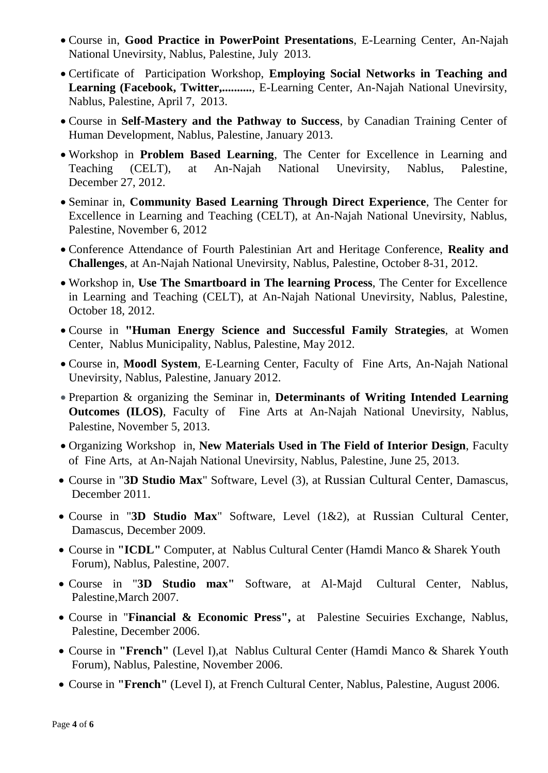- Course in, **Good Practice in PowerPoint Presentations**, E-Learning Center, An-Najah National Unevirsity, Nablus, Palestine, July 2013.
- Certificate of Participation Workshop, **Employing Social Networks in Teaching and**  Learning (Facebook, Twitter,..........., E-Learning Center, An-Najah National Unevirsity, Nablus, Palestine, April 7, 2013.
- Course in **Self-Mastery and the Pathway to Success**, by Canadian Training Center of Human Development, Nablus, Palestine, January 2013.
- Workshop in **Problem Based Learning**, The Center for Excellence in Learning and Teaching (CELT), at An-Najah National Unevirsity, Nablus, Palestine, December 27, 2012.
- Seminar in, **Community Based Learning Through Direct Experience**, The Center for Excellence in Learning and Teaching (CELT), at An-Najah National Unevirsity, Nablus, Palestine, November 6, 2012
- Conference Attendance of Fourth Palestinian Art and Heritage Conference, **Reality and Challenges**, at An-Najah National Unevirsity, Nablus, Palestine, October 8-31, 2012.
- Workshop in, **Use The Smartboard in The learning Process**, The Center for Excellence in Learning and Teaching (CELT), at An-Najah National Unevirsity, Nablus, Palestine, October 18, 2012.
- Course in **"Human Energy Science and Successful Family Strategies**, at Women Center, Nablus Municipality, Nablus, Palestine, May 2012.
- Course in, **Moodl System**, E-Learning Center, Faculty of Fine Arts, An-Najah National Unevirsity, Nablus, Palestine, January 2012.
- Prepartion & organizing the Seminar in, **Determinants of Writing Intended Learning Outcomes (ILOS)**, Faculty of Fine Arts at An-Najah National Unevirsity, Nablus, Palestine, November 5, 2013.
- Organizing Workshop in, **New Materials Used in The Field of Interior Design**, Faculty of Fine Arts, at An-Najah National Unevirsity, Nablus, Palestine, June 25, 2013.
- Course in "**3D Studio Max**" Software, Level (3), at Russian Cultural Center, Damascus, December 2011.
- Course in "**3D Studio Max**" Software, Level (1&2), at Russian Cultural Center, Damascus, December 2009.
- Course in **"ICDL"** Computer, at Nablus Cultural Center (Hamdi Manco & Sharek Youth Forum), Nablus, Palestine, 2007.
- Course in "**3D Studio max"** Software, at Al-Majd Cultural Center, Nablus, Palestine,March 2007.
- Course in "**Financial & Economic Press",** at Palestine Secuiries Exchange, Nablus, Palestine, December 2006.
- Course in **"French"** (Level I),at Nablus Cultural Center (Hamdi Manco & Sharek Youth Forum), Nablus, Palestine, November 2006.
- Course in **"French"** (Level I), at French Cultural Center, Nablus, Palestine, August 2006.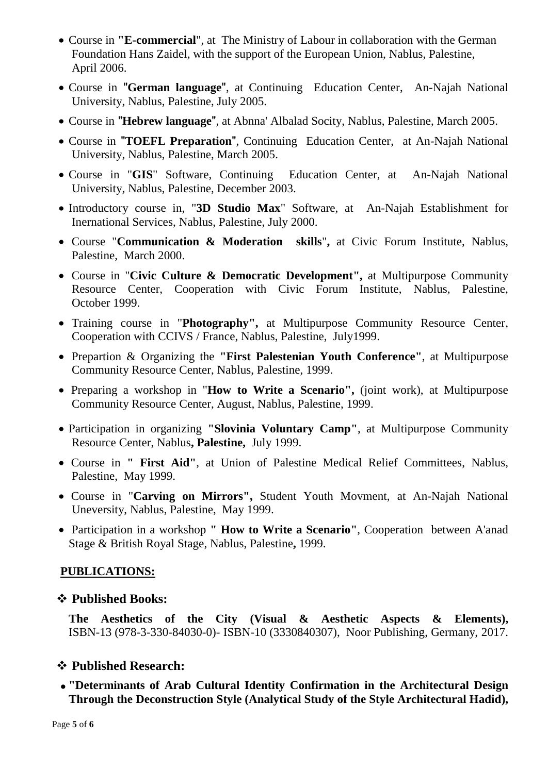- Course in **"E-commercial**", at The Ministry of Labour in collaboration with the German Foundation Hans Zaidel, with the support of the European Union, Nablus, Palestine, April 2006.
- Course in "**German language**", at Continuing Education Center, An-Najah National University, Nablus, Palestine, July 2005.
- Course in "**Hebrew language**", at Abnna' Albalad Socity, Nablus, Palestine, March 2005.
- Course in "**TOEFL Preparation**", Continuing Education Center, at An-Najah National University, Nablus, Palestine, March 2005.
- Course in "**GIS**" Software, Continuing Education Center, at An-Najah National University, Nablus, Palestine, December 2003.
- Introductory course in, "**3D Studio Max**" Software, at An-Najah Establishment for Inernational Services, Nablus, Palestine, July 2000.
- Course "**Communication & Moderation skills**"**,** at Civic Forum Institute, Nablus, Palestine, March 2000.
- Course in "**Civic Culture & Democratic Development",** at Multipurpose Community Resource Center, Cooperation with Civic Forum Institute, Nablus, Palestine, October 1999.
- Training course in "**Photography",** at Multipurpose Community Resource Center, Cooperation with CCIVS / France, Nablus, Palestine, July1999.
- Prepartion & Organizing the **"First Palestenian Youth Conference"**, at Multipurpose Community Resource Center, Nablus, Palestine, 1999.
- Preparing a workshop in "**How to Write a Scenario",** (joint work), at Multipurpose Community Resource Center, August, Nablus, Palestine, 1999.
- Participation in organizing **"Slovinia Voluntary Camp"**, at Multipurpose Community Resource Center, Nablus**, Palestine,** July 1999.
- Course in **" First Aid"**, at Union of Palestine Medical Relief Committees, Nablus, Palestine, May 1999.
- Course in "**Carving on Mirrors",** Student Youth Movment, at An-Najah National Uneversity, Nablus, Palestine, May 1999.
- Participation in a workshop **" How to Write a Scenario"**, Cooperation between A'anad Stage & British Royal Stage, Nablus, Palestine**,** 1999.

#### **PUBLICATIONS:**

#### **Published Books:**

**The Aesthetics of the City (Visual & Aesthetic Aspects & Elements),** ISBN-13 (978-3-330-84030-0)- ISBN-10 (3330840307), Noor Publishing, Germany, 2017.

#### **Published Research:**

 **"Determinants of Arab Cultural Identity Confirmation in the Architectural Design Through the Deconstruction Style (Analytical Study of the Style Architectural Hadid),**